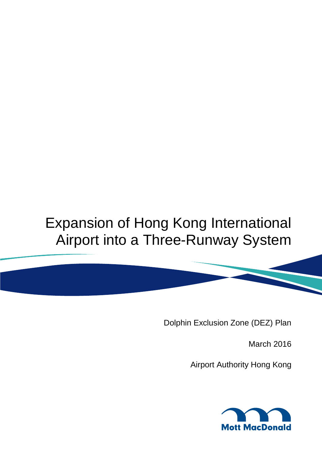# Expansion of Hong Kong International Airport into a Three-Runway System

Dolphin Exclusion Zone (DEZ) Plan

March 2016

Airport Authority Hong Kong

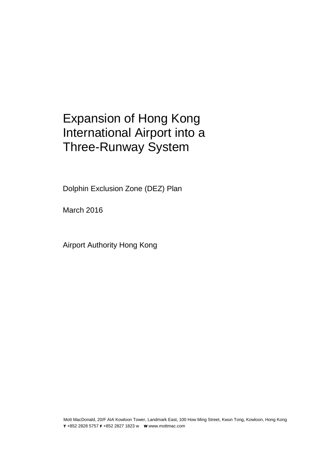### Expansion of Hong Kong International Airport into a Three-Runway System

 $\epsilon$  (DEZ) Plan Dolphin Exclusion Zone (DEZ) Plan

March 2016

Airport Authority Hong Kong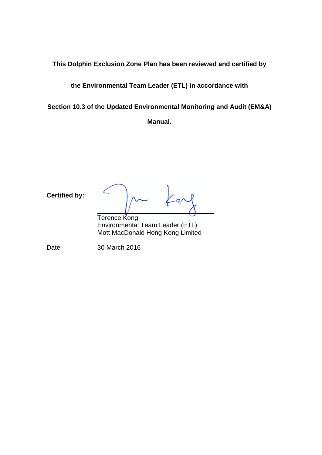**This Dolphin Exclusion Zone Plan has been reviewed and certified by** 

**the Environmental Team Leader (ETL) in accordance with** 

**Section 10.3 of the Updated Environmental Monitoring and Audit (EM&A)** 

**Manual.**

**Certified by:**  $\frac{1}{2}$ Terence Kong Environmental Team Leader (ETL) Mott MacDonald Hong Kong Limited Date 30 March 2016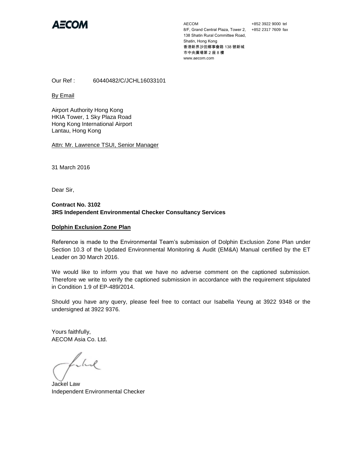

AECOM 8/F, Grand Central Plaza, Tower 2, +852 2317 7609 fax 138 Shatin Rural Committee Road, Shatin, Hong Kong 香港新界沙田鄉事會路 138 號新城 市中央廣場第 2 座 8 樓 www.aecom.com

+852 3922 9000 tel

Our Ref : 60440482/C/JCHL16033101

By Email

Airport Authority Hong Kong HKIA Tower, 1 Sky Plaza Road Hong Kong International Airport Lantau, Hong Kong

Attn: Mr. Lawrence TSUI, Senior Manager

31 March 2016

Dear Sir,

#### **Contract No. 3102 3RS Independent Environmental Checker Consultancy Services**

#### **Dolphin Exclusion Zone Plan**

Reference is made to the Environmental Team's submission of Dolphin Exclusion Zone Plan under Section 10.3 of the Updated Environmental Monitoring & Audit (EM&A) Manual certified by the ET Leader on 30 March 2016.

We would like to inform you that we have no adverse comment on the captioned submission. Therefore we write to verify the captioned submission in accordance with the requirement stipulated in Condition 1.9 of EP-489/2014.

Should you have any query, please feel free to contact our Isabella Yeung at 3922 9348 or the undersigned at 3922 9376.

Yours faithfully, AECOM Asia Co. Ltd.

Llul

Jackel Law Independent Environmental Checker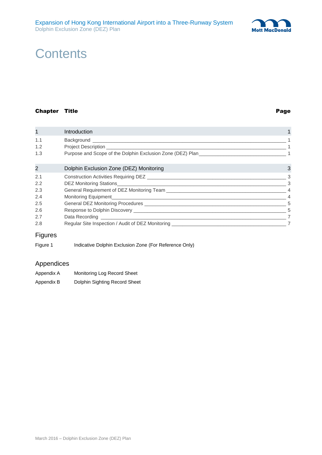

### **Contents**

#### Chapter Title **Page**

| $\mathbf{1}$   | Introduction                                           |   |
|----------------|--------------------------------------------------------|---|
| 1.1            |                                                        |   |
| 1.2            |                                                        |   |
| 1.3            |                                                        |   |
| 2              | Dolphin Exclusion Zone (DEZ) Monitoring                | 3 |
| 2.1            |                                                        | 3 |
| 2.2            |                                                        |   |
| 2.3            |                                                        |   |
| 2.4            |                                                        |   |
| 2.5            |                                                        |   |
| 2.6            |                                                        |   |
| 2.7            |                                                        | 7 |
| 2.8            |                                                        |   |
| <b>Figures</b> |                                                        |   |
| Figure 1       | Indicative Dolphin Exclusion Zone (For Reference Only) |   |

### Appendices

| Appendix A | Monitoring Log Record Sheet   |
|------------|-------------------------------|
| Appendix B | Dolphin Sighting Record Sheet |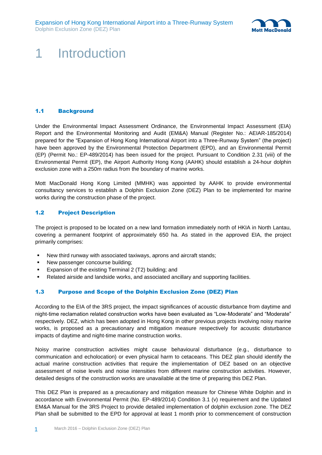

## <span id="page-5-0"></span>1 Introduction

#### <span id="page-5-1"></span>1.1 Background

Under the Environmental Impact Assessment Ordinance, the Environmental Impact Assessment (EIA) Report and the Environmental Monitoring and Audit (EM&A) Manual (Register No.: AEIAR-185/2014) prepared for the "Expansion of Hong Kong International Airport into a Three-Runway System" (the project) have been approved by the Environmental Protection Department (EPD), and an Environmental Permit (EP) (Permit No.: EP-489/2014) has been issued for the project. Pursuant to Condition 2.31 (viii) of the Environmental Permit (EP), the Airport Authority Hong Kong (AAHK) should establish a 24-hour dolphin exclusion zone with a 250m radius from the boundary of marine works.

Mott MacDonald Hong Kong Limited (MMHK) was appointed by AAHK to provide environmental consultancy services to establish a Dolphin Exclusion Zone (DEZ) Plan to be implemented for marine works during the construction phase of the project.

#### <span id="page-5-2"></span>1.2 Project Description

The project is proposed to be located on a new land formation immediately north of HKIA in North Lantau, covering a permanent footprint of approximately 650 ha. As stated in the approved EIA, the project primarily comprises:

- New third runway with associated taxiways, aprons and aircraft stands;
- New passenger concourse building;
- Expansion of the existing Terminal 2 (T2) building; and
- <span id="page-5-3"></span>Related airside and landside works, and associated ancillary and supporting facilities.

#### 1.3 Purpose and Scope of the Dolphin Exclusion Zone (DEZ) Plan

According to the EIA of the 3RS project, the impact significances of acoustic disturbance from daytime and night-time reclamation related construction works have been evaluated as "Low-Moderate" and "Moderate" respectively. DEZ, which has been adopted in Hong Kong in other previous projects involving noisy marine works, is proposed as a precautionary and mitigation measure respectively for acoustic disturbance impacts of daytime and night-time marine construction works.

Noisy marine construction activities might cause behavioural disturbance (e.g., disturbance to communication and echolocation) or even physical harm to cetaceans. This DEZ plan should identify the actual marine construction activities that require the implementation of DEZ based on an objective assessment of noise levels and noise intensities from different marine construction activities. However, detailed designs of the construction works are unavailable at the time of preparing this DEZ Plan.

This DEZ Plan is prepared as a precautionary and mitigation measure for Chinese White Dolphin and in accordance with Environmental Permit (No. EP-489/2014) Condition 3.1 (v) requirement and the Updated EM&A Manual for the 3RS Project to provide detailed implementation of dolphin exclusion zone. The DEZ Plan shall be submitted to the EPD for approval at least 1 month prior to commencement of construction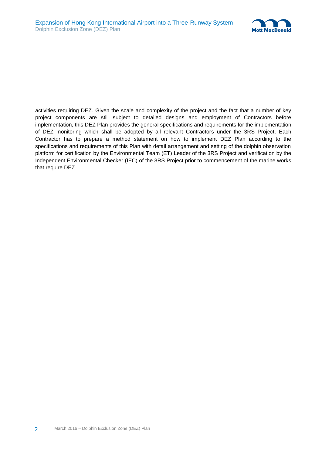

activities requiring DEZ. Given the scale and complexity of the project and the fact that a number of key project components are still subject to detailed designs and employment of Contractors before implementation, this DEZ Plan provides the general specifications and requirements for the implementation of DEZ monitoring which shall be adopted by all relevant Contractors under the 3RS Project. Each Contractor has to prepare a method statement on how to implement DEZ Plan according to the specifications and requirements of this Plan with detail arrangement and setting of the dolphin observation platform for certification by the Environmental Team (ET) Leader of the 3RS Project and verification by the Independent Environmental Checker (IEC) of the 3RS Project prior to commencement of the marine works that require DEZ.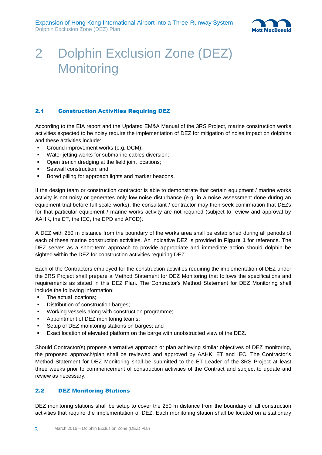

### <span id="page-7-0"></span>2 Dolphin Exclusion Zone (DEZ) **Monitoring**

#### <span id="page-7-1"></span>2.1 Construction Activities Requiring DEZ

According to the EIA report and the Updated EM&A Manual of the 3RS Project, marine construction works activities expected to be noisy require the implementation of DEZ for mitigation of noise impact on dolphins and these activities include:

- Ground improvement works (e.g. DCM);
- Water jetting works for submarine cables diversion;
- Open trench dredging at the field joint locations;
- Seawall construction; and
- **Bored pilling for approach lights and marker beacons.**

If the design team or construction contractor is able to demonstrate that certain equipment / marine works activity is not noisy or generates only low noise disturbance (e.g. in a noise assessment done during an equipment trial before full scale works), the consultant / contractor may then seek confirmation that DEZs for that particular equipment / marine works activity are not required (subject to review and approval by AAHK, the ET, the IEC, the EPD and AFCD).

A DEZ with 250 m distance from the boundary of the works area shall be established during all periods of each of these marine construction activities. An indicative DEZ is provided in **Figure 1** for reference. The DEZ serves as a short-term approach to provide appropriate and immediate action should dolphin be sighted within the DEZ for construction activities requiring DEZ.

Each of the Contractors employed for the construction activities requiring the implementation of DEZ under the 3RS Project shall prepare a Method Statement for DEZ Monitoring that follows the specifications and requirements as stated in this DEZ Plan. The Contractor's Method Statement for DEZ Monitoring shall include the following information:

- The actual locations;
- Distribution of construction barges;
- Working vessels along with construction programme;
- Appointment of DEZ monitoring teams;
- Setup of DEZ monitoring stations on barges; and
- Exact location of elevated platform on the barge with unobstructed view of the DEZ.

Should Contractor(s) propose alternative approach or plan achieving similar objectives of DEZ monitoring, the proposed approach/plan shall be reviewed and approved by AAHK, ET and IEC. The Contractor's Method Statement for DEZ Monitoring shall be submitted to the ET Leader of the 3RS Project at least three weeks prior to commencement of construction activities of the Contract and subject to update and review as necessary.

#### <span id="page-7-2"></span>2.2 DEZ Monitoring Stations

DEZ monitoring stations shall be setup to cover the 250 m distance from the boundary of all construction activities that require the implementation of DEZ. Each monitoring station shall be located on a stationary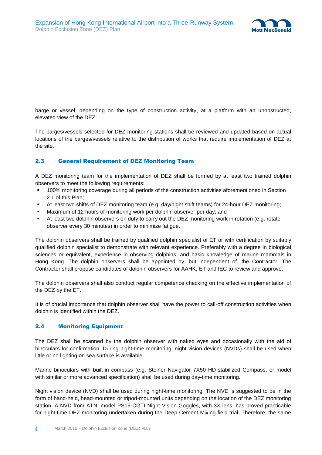

barge or vessel, depending on the type of construction activity, at a platform with an unobstructed, elevated view of the DEZ.

The barges/vessels selected for DEZ monitoring stations shall be reviewed and updated based on actual locations of the barges/vessels relative to the distribution of works that require implementation of DEZ at the site.

#### <span id="page-8-0"></span>2.3 General Requirement of DEZ Monitoring Team

A DEZ monitoring team for the implementation of DEZ shall be formed by at least two trained dolphin observers to meet the following requirements:

- 100% monitoring coverage during all periods of the construction activities aforementioned in Section 2.1 of this Plan;
- At least two shifts of DEZ monitoring team (e.g. day/night shift teams) for 24-hour DEZ monitoring;
- Maximum of 12 hours of monitoring work per dolphin observer per day; and
- At least two dolphin observers on duty to carry out the DEZ monitoring work in rotation (e.g. rotate observer every 30 minutes) in order to minimize fatigue.

The dolphin observers shall be trained by qualified dolphin specialist of ET or with certification by suitably qualified dolphin specialist to demonstrate with relevant experience. Preferably with a degree in biological sciences or equivalent, experience in observing dolphins, and basic knowledge of marine mammals in Hong Kong. The dolphin observers shall be appointed by, but independent of, the Contractor. The Contractor shall propose candidates of dolphin observers for AAHK, ET and IEC to review and approve.

The dolphin observers shall also conduct regular competence checking on the effective implementation of the DEZ by the ET.

It is of crucial importance that dolphin observer shall have the power to call-off construction activities when dolphin is identified within the DEZ.

#### <span id="page-8-1"></span>2.4 Monitoring Equipment

The DEZ shall be scanned by the dolphin observer with naked eyes and occasionally with the aid of binoculars for confirmation. During night-time monitoring, night vision devices (NVDs) shall be used when little or no lighting on sea surface is available.

Marine binoculars with built-in compass (e.g. Steiner Navigator 7X50 HD-stabilized Compass, or model with similar or more advanced specification) shall be used during day-time monitoring.

Night vision device (NVD) shall be used during night-time monitoring. The NVD is suggested to be in the form of hand-held, head-mounted or tripod-mounted units depending on the location of the DEZ monitoring station. A NVD from ATN, model PS15-CGTI Night Vision Goggles, with 3X lens, has proved practicable for night-time DEZ monitoring undertaken during the Deep Cement Mixing field trial. Therefore, the same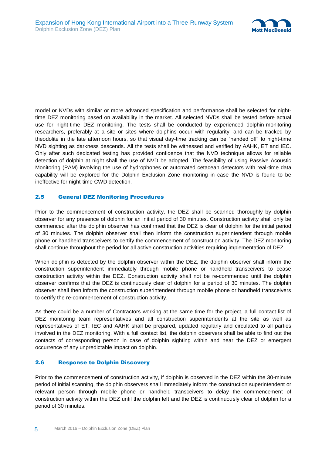

model or NVDs with similar or more advanced specification and performance shall be selected for nighttime DEZ monitoring based on availability in the market. All selected NVDs shall be tested before actual use for night-time DEZ monitoring. The tests shall be conducted by experienced dolphin-monitoring researchers, preferably at a site or sites where dolphins occur with regularity, and can be tracked by theodolite in the late afternoon hours, so that visual day-time tracking can be "handed off" to night-time NVD sighting as darkness descends. All the tests shall be witnessed and verified by AAHK, ET and IEC. Only after such dedicated testing has provided confidence that the NVD technique allows for reliable detection of dolphin at night shall the use of NVD be adopted. The feasibility of using Passive Acoustic Monitoring (PAM) involving the use of hydrophones or automated cetacean detectors with real-time data capability will be explored for the Dolphin Exclusion Zone monitoring in case the NVD is found to be ineffective for night-time CWD detection.

#### <span id="page-9-0"></span>2.5 General DEZ Monitoring Procedures

Prior to the commencement of construction activity, the DEZ shall be scanned thoroughly by dolphin observer for any presence of dolphin for an initial period of 30 minutes. Construction activity shall only be commenced after the dolphin observer has confirmed that the DEZ is clear of dolphin for the initial period of 30 minutes. The dolphin observer shall then inform the construction superintendent through mobile phone or handheld transceivers to certify the commencement of construction activity. The DEZ monitoring shall continue throughout the period for all active construction activities requiring implementation of DEZ.

When dolphin is detected by the dolphin observer within the DEZ, the dolphin observer shall inform the construction superintendent immediately through mobile phone or handheld transceivers to cease construction activity within the DEZ. Construction activity shall not be re-commenced until the dolphin observer confirms that the DEZ is continuously clear of dolphin for a period of 30 minutes. The dolphin observer shall then inform the construction superintendent through mobile phone or handheld transceivers to certify the re-commencement of construction activity.

As there could be a number of Contractors working at the same time for the project, a full contact list of DEZ monitoring team representatives and all construction superintendents at the site as well as representatives of ET, IEC and AAHK shall be prepared, updated regularly and circulated to all parties involved in the DEZ monitoring. With a full contact list, the dolphin observers shall be able to find out the contacts of corresponding person in case of dolphin sighting within and near the DEZ or emergent occurrence of any unpredictable impact on dolphin.

#### <span id="page-9-1"></span>2.6 Response to Dolphin Discovery

Prior to the commencement of construction activity, if dolphin is observed in the DEZ within the 30-minute period of initial scanning, the dolphin observers shall immediately inform the construction superintendent or relevant person through mobile phone or handheld transceivers to delay the commencement of construction activity within the DEZ until the dolphin left and the DEZ is continuously clear of dolphin for a period of 30 minutes.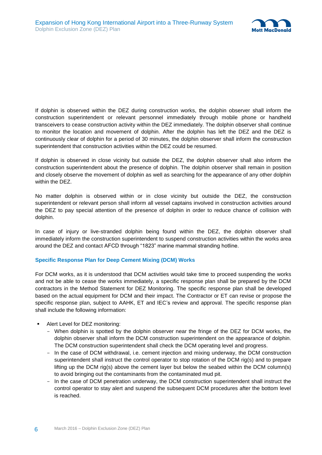

If dolphin is observed within the DEZ during construction works, the dolphin observer shall inform the construction superintendent or relevant personnel immediately through mobile phone or handheld transceivers to cease construction activity within the DEZ immediately. The dolphin observer shall continue to monitor the location and movement of dolphin. After the dolphin has left the DEZ and the DEZ is continuously clear of dolphin for a period of 30 minutes, the dolphin observer shall inform the construction superintendent that construction activities within the DEZ could be resumed.

If dolphin is observed in close vicinity but outside the DEZ, the dolphin observer shall also inform the construction superintendent about the presence of dolphin. The dolphin observer shall remain in position and closely observe the movement of dolphin as well as searching for the appearance of any other dolphin within the DEZ.

No matter dolphin is observed within or in close vicinity but outside the DEZ, the construction superintendent or relevant person shall inform all vessel captains involved in construction activities around the DEZ to pay special attention of the presence of dolphin in order to reduce chance of collision with dolphin.

In case of injury or live-stranded dolphin being found within the DEZ, the dolphin observer shall immediately inform the construction superintendent to suspend construction activities within the works area around the DEZ and contact AFCD through "1823" marine mammal stranding hotline.

#### **Specific Response Plan for Deep Cement Mixing (DCM) Works**

For DCM works, as it is understood that DCM activities would take time to proceed suspending the works and not be able to cease the works immediately, a specific response plan shall be prepared by the DCM contractors in the Method Statement for DEZ Monitoring. The specific response plan shall be developed based on the actual equipment for DCM and their impact. The Contractor or ET can revise or propose the specific response plan, subject to AAHK, ET and IEC's review and approval. The specific response plan shall include the following information:

- Alert Level for DEZ monitoring:
	- When dolphin is spotted by the dolphin observer near the fringe of the DEZ for DCM works, the dolphin observer shall inform the DCM construction superintendent on the appearance of dolphin. The DCM construction superintendent shall check the DCM operating level and progress.
	- In the case of DCM withdrawal, i.e. cement injection and mixing underway, the DCM construction superintendent shall instruct the control operator to stop rotation of the DCM rig(s) and to prepare lifting up the DCM rig(s) above the cement layer but below the seabed within the DCM column(s) to avoid bringing out the contaminants from the contaminated mud pit.
	- In the case of DCM penetration underway, the DCM construction superintendent shall instruct the control operator to stay alert and suspend the subsequent DCM procedures after the bottom level is reached.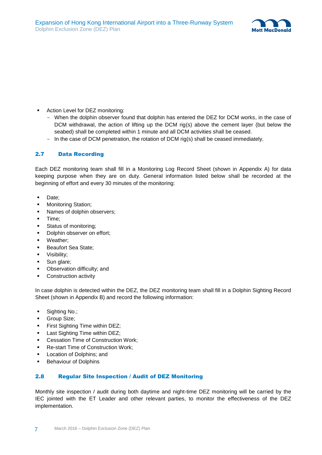

- **Action Level for DEZ monitoring:** 
	- When the dolphin observer found that dolphin has entered the DEZ for DCM works, in the case of DCM withdrawal, the action of lifting up the DCM rig(s) above the cement layer (but below the seabed) shall be completed within 1 minute and all DCM activities shall be ceased.
	- In the case of DCM penetration, the rotation of DCM rig(s) shall be ceased immediately.

#### <span id="page-11-0"></span>2.7 Data Recording

Each DEZ monitoring team shall fill in a Monitoring Log Record Sheet (shown in Appendix A) for data keeping purpose when they are on duty. General information listed below shall be recorded at the beginning of effort and every 30 minutes of the monitoring:

- Date;
- **•** Monitoring Station;
- Names of dolphin observers;
- **Time:**
- Status of monitoring;
- Dolphin observer on effort;
- Weather;
- **Beaufort Sea State;**
- Visibility;
- Sun glare;
- Observation difficulty; and
- Construction activity

In case dolphin is detected within the DEZ, the DEZ monitoring team shall fill in a Dolphin Sighting Record Sheet (shown in Appendix B) and record the following information:

- Sighting No.;
- Group Size;
- **First Sighting Time within DEZ;**
- Last Sighting Time within DEZ;
- Cessation Time of Construction Work;
- Re-start Time of Construction Work;
- Location of Dolphins; and
- **Behaviour of Dolphins**

#### <span id="page-11-1"></span>2.8 Regular Site Inspection / Audit of DEZ Monitoring

Monthly site inspection / audit during both daytime and night-time DEZ monitoring will be carried by the IEC jointed with the ET Leader and other relevant parties, to monitor the effectiveness of the DEZ implementation.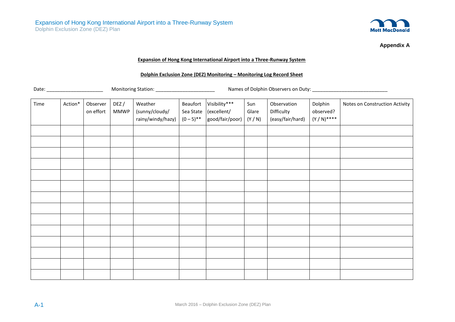

**Appendix A**

#### **Expansion of Hong Kong International Airport into a Three-Runway System**

#### **Dolphin Exclusion Zone (DEZ) Monitoring – Monitoring Log Record Sheet**

Date: \_\_\_\_\_\_\_\_\_\_\_\_\_\_\_\_\_\_\_\_\_ Monitoring Station: \_\_\_\_\_\_\_\_\_\_\_\_\_\_\_\_\_\_\_\_\_\_ Names of Dolphin Observers on Duty: \_\_\_\_\_\_\_\_\_\_\_\_\_\_\_\_\_\_\_\_\_\_\_\_\_\_\_\_

| Time | Action* | Observer<br>on effort | DEZ/<br><b>MMWP</b> | Weather<br>(sunny/cloudy/<br>rainy/windy/hazy) | Beaufort<br>Sea State<br>$(0-5)$ ** | Visibility***<br>(excellent/<br>good/fair/poor) | Sun<br>Glare<br>(Y/N) | Observation<br>Difficulty<br>(easy/fair/hard) | Dolphin<br>observed?<br>$(Y/N)^{***}$ | Notes on Construction Activity |
|------|---------|-----------------------|---------------------|------------------------------------------------|-------------------------------------|-------------------------------------------------|-----------------------|-----------------------------------------------|---------------------------------------|--------------------------------|
|      |         |                       |                     |                                                |                                     |                                                 |                       |                                               |                                       |                                |
|      |         |                       |                     |                                                |                                     |                                                 |                       |                                               |                                       |                                |
|      |         |                       |                     |                                                |                                     |                                                 |                       |                                               |                                       |                                |
|      |         |                       |                     |                                                |                                     |                                                 |                       |                                               |                                       |                                |
|      |         |                       |                     |                                                |                                     |                                                 |                       |                                               |                                       |                                |
|      |         |                       |                     |                                                |                                     |                                                 |                       |                                               |                                       |                                |
|      |         |                       |                     |                                                |                                     |                                                 |                       |                                               |                                       |                                |
|      |         |                       |                     |                                                |                                     |                                                 |                       |                                               |                                       |                                |
|      |         |                       |                     |                                                |                                     |                                                 |                       |                                               |                                       |                                |
|      |         |                       |                     |                                                |                                     |                                                 |                       |                                               |                                       |                                |
|      |         |                       |                     |                                                |                                     |                                                 |                       |                                               |                                       |                                |
|      |         |                       |                     |                                                |                                     |                                                 |                       |                                               |                                       |                                |
|      |         |                       |                     |                                                |                                     |                                                 |                       |                                               |                                       |                                |
|      |         |                       |                     |                                                |                                     |                                                 |                       |                                               |                                       |                                |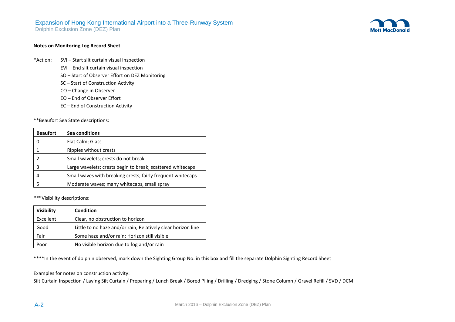### Expansion of Hong Kong International Airport into a Three-Runway System

Dolphin Exclusion Zone (DEZ) Plan



#### **Notes on Monitoring Log Record Sheet**

- \*Action: SVI Start silt curtain visual inspection
	- EVI End silt curtain visual inspection
	- SO Start of Observer Effort on DEZ Monitoring
	- SC Start of Construction Activity
	- CO Change in Observer
	- EO End of Observer Effort
	- EC End of Construction Activity

\*\*Beaufort Sea State descriptions:

| <b>Beaufort</b> | Sea conditions                                              |
|-----------------|-------------------------------------------------------------|
|                 | Flat Calm; Glass                                            |
|                 | Ripples without crests                                      |
|                 | Small wavelets; crests do not break                         |
|                 | Large wavelets; crests begin to break; scattered whitecaps  |
|                 | Small waves with breaking crests; fairly frequent whitecaps |
|                 | Moderate waves; many whitecaps, small spray                 |

\*\*\*Visibility descriptions:

| <b>Visibility</b> | <b>Condition</b>                                             |
|-------------------|--------------------------------------------------------------|
| Excellent         | Clear, no obstruction to horizon                             |
| Good              | Little to no haze and/or rain; Relatively clear horizon line |
| Fair              | Some haze and/or rain; Horizon still visible                 |
| Poor              | No visible horizon due to fog and/or rain                    |

\*\*\*\*In the event of dolphin observed, mark down the Sighting Group No. in this box and fill the separate Dolphin Sighting Record Sheet

Examples for notes on construction activity:

Silt Curtain Inspection / Laying Silt Curtain / Preparing / Lunch Break / Bored Piling / Drilling / Dredging / Stone Column / Gravel Refill / SVD / DCM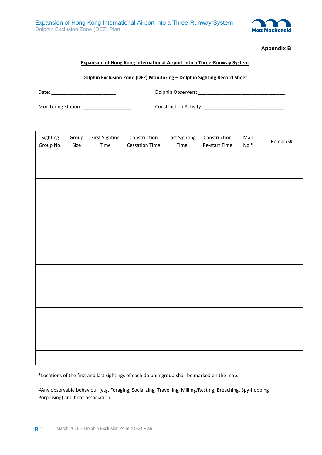

**Appendix B**

#### **Expansion of Hong Kong International Airport into a Three-Runway System**

**Dolphin Exclusion Zone (DEZ) Monitoring – Dolphin Sighting Record Sheet**

Date: \_\_\_\_\_\_\_\_\_\_\_\_\_\_\_\_\_\_\_\_\_\_\_\_ Dolphin Observers: \_\_\_\_\_\_\_\_\_\_\_\_\_\_\_\_\_\_\_\_\_\_\_\_\_\_\_\_\_\_\_\_

Monitoring Station: \_\_\_\_\_\_\_\_\_\_\_\_\_\_\_\_\_\_ Construction Activity: \_\_\_\_\_\_\_\_\_\_\_\_\_\_\_\_\_\_\_\_\_\_\_\_\_\_\_\_\_\_

| Sighting<br>Group No. | Group<br>Size | <b>First Sighting</b><br>Time | Construction<br><b>Cessation Time</b> | Last Sighting<br>Time | Construction<br>Re-start Time | Map<br>$\mathsf{No}.^*$ | Remarks# |
|-----------------------|---------------|-------------------------------|---------------------------------------|-----------------------|-------------------------------|-------------------------|----------|
|                       |               |                               |                                       |                       |                               |                         |          |
|                       |               |                               |                                       |                       |                               |                         |          |
|                       |               |                               |                                       |                       |                               |                         |          |
|                       |               |                               |                                       |                       |                               |                         |          |
|                       |               |                               |                                       |                       |                               |                         |          |
|                       |               |                               |                                       |                       |                               |                         |          |
|                       |               |                               |                                       |                       |                               |                         |          |
|                       |               |                               |                                       |                       |                               |                         |          |
|                       |               |                               |                                       |                       |                               |                         |          |
|                       |               |                               |                                       |                       |                               |                         |          |
|                       |               |                               |                                       |                       |                               |                         |          |
|                       |               |                               |                                       |                       |                               |                         |          |
|                       |               |                               |                                       |                       |                               |                         |          |
|                       |               |                               |                                       |                       |                               |                         |          |
|                       |               |                               |                                       |                       |                               |                         |          |

\*Locations of the first and last sightings of each dolphin group shall be marked on the map.

#Any observable behaviour (e.g. Foraging, Socializing, Travelling, Milling/Resting, Breaching, Spy-hopping Porpoising) and boat-association.